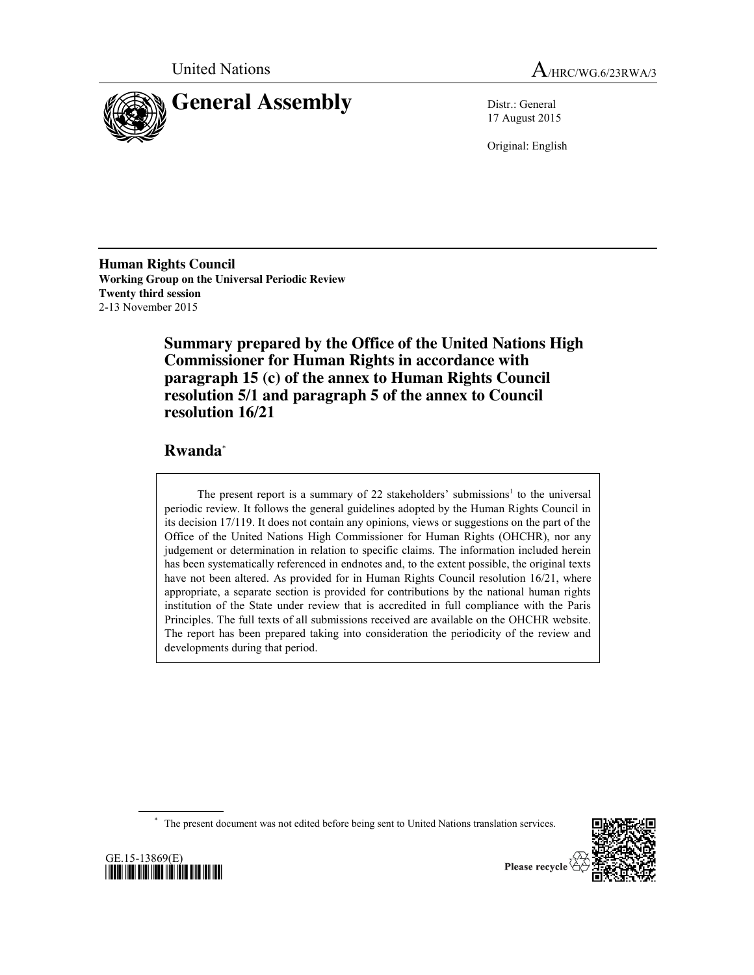



17 August 2015

Original: English

**Human Rights Council Working Group on the Universal Periodic Review Twenty third session** 2-13 November 2015

> **Summary prepared by the Office of the United Nations High Commissioner for Human Rights in accordance with paragraph 15 (c) of the annex to Human Rights Council resolution 5/1 and paragraph 5 of the annex to Council resolution 16/21**

# **Rwanda**\*

The present report is a summary of 22 stakeholders' submissions<sup>1</sup> to the universal periodic review. It follows the general guidelines adopted by the Human Rights Council in its decision 17/119. It does not contain any opinions, views or suggestions on the part of the Office of the United Nations High Commissioner for Human Rights (OHCHR), nor any judgement or determination in relation to specific claims. The information included herein has been systematically referenced in endnotes and, to the extent possible, the original texts have not been altered. As provided for in Human Rights Council resolution 16/21, where appropriate, a separate section is provided for contributions by the national human rights institution of the State under review that is accredited in full compliance with the Paris Principles. The full texts of all submissions received are available on the OHCHR website. The report has been prepared taking into consideration the periodicity of the review and developments during that period.

\* The present document was not edited before being sent to United Nations translation services.



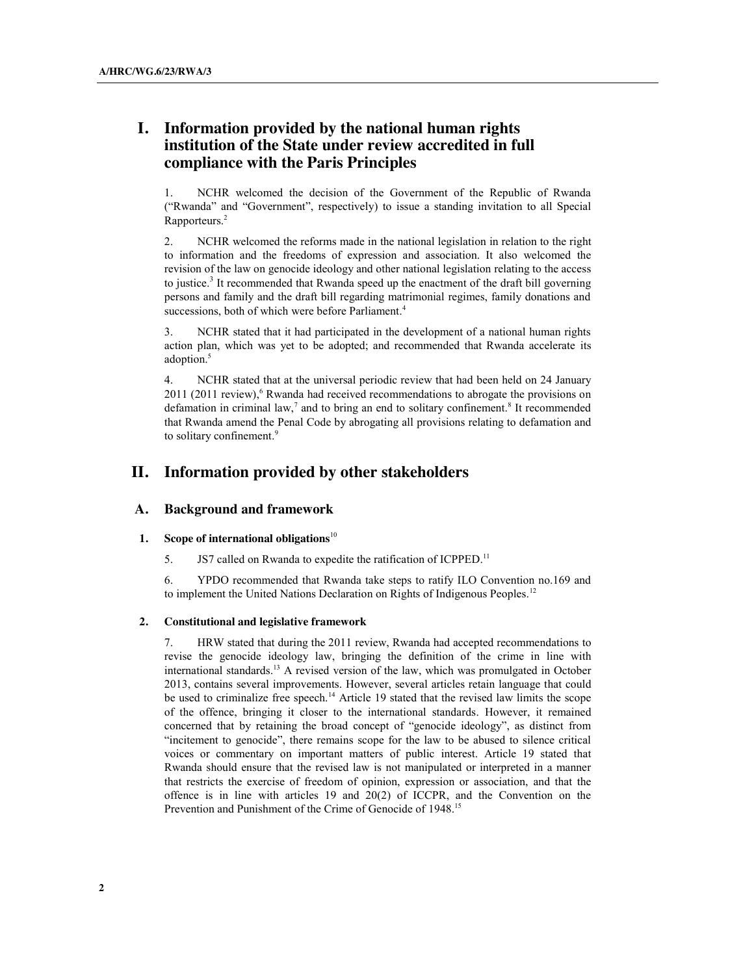# **I. Information provided by the national human rights institution of the State under review accredited in full compliance with the Paris Principles**

1. NCHR welcomed the decision of the Government of the Republic of Rwanda ("Rwanda" and "Government", respectively) to issue a standing invitation to all Special Rapporteurs. 2

2. NCHR welcomed the reforms made in the national legislation in relation to the right to information and the freedoms of expression and association. It also welcomed the revision of the law on genocide ideology and other national legislation relating to the access to justice.<sup>3</sup> It recommended that Rwanda speed up the enactment of the draft bill governing persons and family and the draft bill regarding matrimonial regimes, family donations and successions, both of which were before Parliament.<sup>4</sup>

3. NCHR stated that it had participated in the development of a national human rights action plan, which was yet to be adopted; and recommended that Rwanda accelerate its adoption.<sup>5</sup>

4. NCHR stated that at the universal periodic review that had been held on 24 January 2011 (2011 review),<sup>6</sup> Rwanda had received recommendations to abrogate the provisions on defamation in criminal law, $<sup>7</sup>$  and to bring an end to solitary confinement.<sup>8</sup> It recommended</sup> that Rwanda amend the Penal Code by abrogating all provisions relating to defamation and to solitary confinement. 9

# **II. Information provided by other stakeholders**

## **A. Background and framework**

#### **1. Scope of international obligations**<sup>10</sup>

5. JS7 called on Rwanda to expedite the ratification of ICPPED.<sup>11</sup>

6. YPDO recommended that Rwanda take steps to ratify ILO Convention no.169 and to implement the United Nations Declaration on Rights of Indigenous Peoples.<sup>12</sup>

#### **2. Constitutional and legislative framework**

HRW stated that during the 2011 review, Rwanda had accepted recommendations to revise the genocide ideology law, bringing the definition of the crime in line with international standards. <sup>13</sup> A revised version of the law, which was promulgated in October 2013, contains several improvements. However, several articles retain language that could be used to criminalize free speech.<sup>14</sup> Article 19 stated that the revised law limits the scope of the offence, bringing it closer to the international standards. However, it remained concerned that by retaining the broad concept of "genocide ideology", as distinct from "incitement to genocide", there remains scope for the law to be abused to silence critical voices or commentary on important matters of public interest. Article 19 stated that Rwanda should ensure that the revised law is not manipulated or interpreted in a manner that restricts the exercise of freedom of opinion, expression or association, and that the offence is in line with articles 19 and 20(2) of ICCPR, and the Convention on the Prevention and Punishment of the Crime of Genocide of 1948.<sup>15</sup>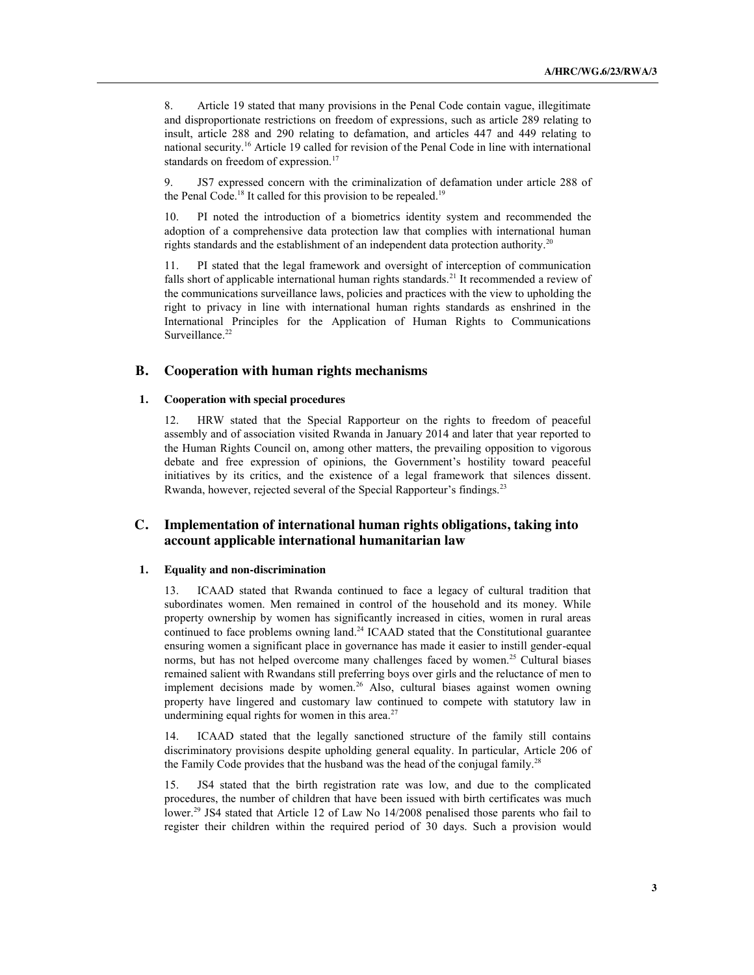8. Article 19 stated that many provisions in the Penal Code contain vague, illegitimate and disproportionate restrictions on freedom of expressions, such as article 289 relating to insult, article 288 and 290 relating to defamation, and articles 447 and 449 relating to national security.16 Article 19 called for revision of the Penal Code in line with international standards on freedom of expression.<sup>17</sup>

9. JS7 expressed concern with the criminalization of defamation under article 288 of the Penal Code.<sup>18</sup> It called for this provision to be repealed.<sup>19</sup>

10. PI noted the introduction of a biometrics identity system and recommended the adoption of a comprehensive data protection law that complies with international human rights standards and the establishment of an independent data protection authority.<sup>20</sup>

11. PI stated that the legal framework and oversight of interception of communication falls short of applicable international human rights standards.<sup>21</sup> It recommended a review of the communications surveillance laws, policies and practices with the view to upholding the right to privacy in line with international human rights standards as enshrined in the International Principles for the Application of Human Rights to Communications Surveillance. 22

## **B. Cooperation with human rights mechanisms**

## **1. Cooperation with special procedures**

12. HRW stated that the Special Rapporteur on the rights to freedom of peaceful assembly and of association visited Rwanda in January 2014 and later that year reported to the Human Rights Council on, among other matters, the prevailing opposition to vigorous debate and free expression of opinions, the Government's hostility toward peaceful initiatives by its critics, and the existence of a legal framework that silences dissent. Rwanda, however, rejected several of the Special Rapporteur's findings.<sup>23</sup>

## **C. Implementation of international human rights obligations, taking into account applicable international humanitarian law**

#### **1. Equality and non-discrimination**

13. ICAAD stated that Rwanda continued to face a legacy of cultural tradition that subordinates women. Men remained in control of the household and its money. While property ownership by women has significantly increased in cities, women in rural areas continued to face problems owning land.<sup>24</sup> ICAAD stated that the Constitutional guarantee ensuring women a significant place in governance has made it easier to instill gender-equal norms, but has not helped overcome many challenges faced by women. <sup>25</sup> Cultural biases remained salient with Rwandans still preferring boys over girls and the reluctance of men to implement decisions made by women.<sup>26</sup> Also, cultural biases against women owning property have lingered and customary law continued to compete with statutory law in undermining equal rights for women in this area. $27$ 

14. ICAAD stated that the legally sanctioned structure of the family still contains discriminatory provisions despite upholding general equality. In particular, Article 206 of the Family Code provides that the husband was the head of the conjugal family.<sup>28</sup>

15. JS4 stated that the birth registration rate was low, and due to the complicated procedures, the number of children that have been issued with birth certificates was much lower.<sup>29</sup> JS4 stated that Article 12 of Law No 14/2008 penalised those parents who fail to register their children within the required period of 30 days. Such a provision would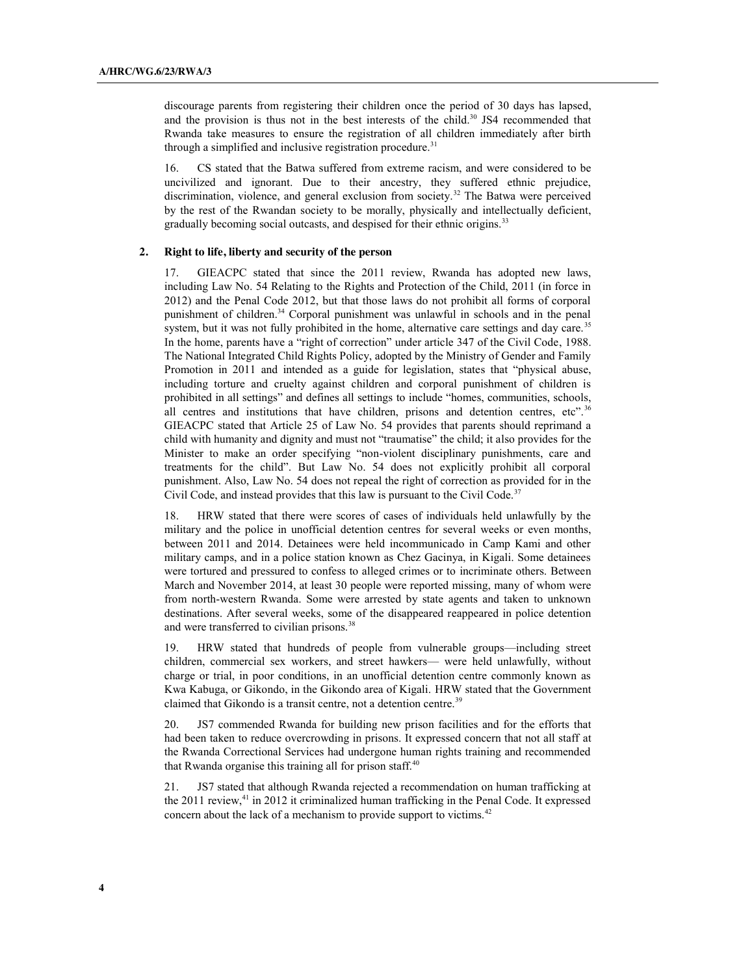discourage parents from registering their children once the period of 30 days has lapsed, and the provision is thus not in the best interests of the child. <sup>30</sup> JS4 recommended that Rwanda take measures to ensure the registration of all children immediately after birth through a simplified and inclusive registration procedure.<sup>31</sup>

16. CS stated that the Batwa suffered from extreme racism, and were considered to be uncivilized and ignorant. Due to their ancestry, they suffered ethnic prejudice, discrimination, violence, and general exclusion from society.<sup>32</sup> The Batwa were perceived by the rest of the Rwandan society to be morally, physically and intellectually deficient, gradually becoming social outcasts, and despised for their ethnic origins.<sup>33</sup>

## **2. Right to life, liberty and security of the person**

17. GIEACPC stated that since the 2011 review, Rwanda has adopted new laws, including Law No. 54 Relating to the Rights and Protection of the Child, 2011 (in force in 2012) and the Penal Code 2012, but that those laws do not prohibit all forms of corporal punishment of children. <sup>34</sup> Corporal punishment was unlawful in schools and in the penal system, but it was not fully prohibited in the home, alternative care settings and day care.<sup>35</sup> In the home, parents have a "right of correction" under article 347 of the Civil Code, 1988. The National Integrated Child Rights Policy, adopted by the Ministry of Gender and Family Promotion in 2011 and intended as a guide for legislation, states that "physical abuse, including torture and cruelty against children and corporal punishment of children is prohibited in all settings" and defines all settings to include "homes, communities, schools, all centres and institutions that have children, prisons and detention centres, etc".<sup>36</sup> GIEACPC stated that Article 25 of Law No. 54 provides that parents should reprimand a child with humanity and dignity and must not "traumatise" the child; it also provides for the Minister to make an order specifying "non-violent disciplinary punishments, care and treatments for the child". But Law No. 54 does not explicitly prohibit all corporal punishment. Also, Law No. 54 does not repeal the right of correction as provided for in the Civil Code, and instead provides that this law is pursuant to the Civil Code.<sup>37</sup>

18. HRW stated that there were scores of cases of individuals held unlawfully by the military and the police in unofficial detention centres for several weeks or even months, between 2011 and 2014. Detainees were held incommunicado in Camp Kami and other military camps, and in a police station known as Chez Gacinya, in Kigali. Some detainees were tortured and pressured to confess to alleged crimes or to incriminate others. Between March and November 2014, at least 30 people were reported missing, many of whom were from north-western Rwanda. Some were arrested by state agents and taken to unknown destinations. After several weeks, some of the disappeared reappeared in police detention and were transferred to civilian prisons.<sup>38</sup>

19. HRW stated that hundreds of people from vulnerable groups—including street children, commercial sex workers, and street hawkers— were held unlawfully, without charge or trial, in poor conditions, in an unofficial detention centre commonly known as Kwa Kabuga, or Gikondo, in the Gikondo area of Kigali. HRW stated that the Government claimed that Gikondo is a transit centre, not a detention centre.<sup>39</sup>

20. JS7 commended Rwanda for building new prison facilities and for the efforts that had been taken to reduce overcrowding in prisons. It expressed concern that not all staff at the Rwanda Correctional Services had undergone human rights training and recommended that Rwanda organise this training all for prison staff.<sup>40</sup>

21. JS7 stated that although Rwanda rejected a recommendation on human trafficking at the 2011 review,<sup>41</sup> in 2012 it criminalized human trafficking in the Penal Code. It expressed concern about the lack of a mechanism to provide support to victims.<sup>42</sup>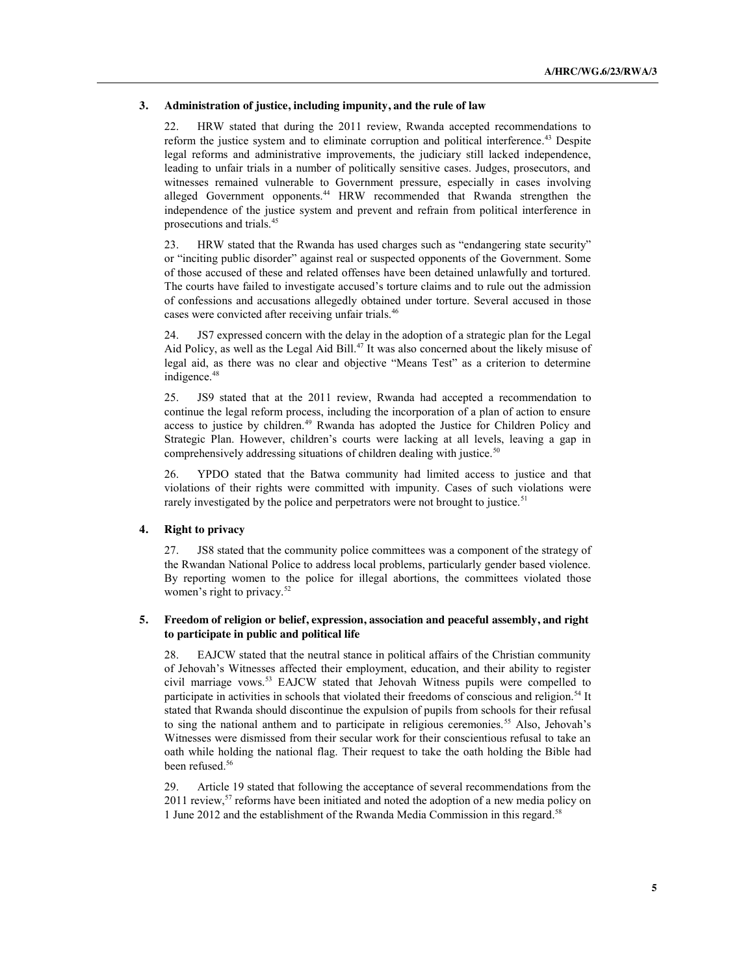#### **3. Administration of justice, including impunity, and the rule of law**

22. HRW stated that during the 2011 review, Rwanda accepted recommendations to reform the justice system and to eliminate corruption and political interference. <sup>43</sup> Despite legal reforms and administrative improvements, the judiciary still lacked independence, leading to unfair trials in a number of politically sensitive cases. Judges, prosecutors, and witnesses remained vulnerable to Government pressure, especially in cases involving alleged Government opponents.<sup>44</sup> HRW recommended that Rwanda strengthen the independence of the justice system and prevent and refrain from political interference in prosecutions and trials.45

23. HRW stated that the Rwanda has used charges such as "endangering state security" or "inciting public disorder" against real or suspected opponents of the Government. Some of those accused of these and related offenses have been detained unlawfully and tortured. The courts have failed to investigate accused's torture claims and to rule out the admission of confessions and accusations allegedly obtained under torture. Several accused in those cases were convicted after receiving unfair trials.46

187 expressed concern with the delay in the adoption of a strategic plan for the Legal Aid Policy, as well as the Legal Aid Bill.<sup>47</sup> It was also concerned about the likely misuse of legal aid, as there was no clear and objective "Means Test" as a criterion to determine indigence.<sup>48</sup>

25. JS9 stated that at the 2011 review, Rwanda had accepted a recommendation to continue the legal reform process, including the incorporation of a plan of action to ensure access to justice by children.<sup>49</sup> Rwanda has adopted the Justice for Children Policy and Strategic Plan. However, children's courts were lacking at all levels, leaving a gap in comprehensively addressing situations of children dealing with justice.<sup>50</sup>

26. YPDO stated that the Batwa community had limited access to justice and that violations of their rights were committed with impunity. Cases of such violations were rarely investigated by the police and perpetrators were not brought to justice.<sup>51</sup>

## **4. Right to privacy**

27. JS8 stated that the community police committees was a component of the strategy of the Rwandan National Police to address local problems, particularly gender based violence. By reporting women to the police for illegal abortions, the committees violated those women's right to privacy.<sup>52</sup>

## **5. Freedom of religion or belief, expression, association and peaceful assembly, and right to participate in public and political life**

28. EAJCW stated that the neutral stance in political affairs of the Christian community of Jehovah's Witnesses affected their employment, education, and their ability to register civil marriage vows.53 EAJCW stated that Jehovah Witness pupils were compelled to participate in activities in schools that violated their freedoms of conscious and religion.<sup>54</sup> It stated that Rwanda should discontinue the expulsion of pupils from schools for their refusal to sing the national anthem and to participate in religious ceremonies.<sup>55</sup> Also, Jehovah's Witnesses were dismissed from their secular work for their conscientious refusal to take an oath while holding the national flag. Their request to take the oath holding the Bible had been refused.<sup>56</sup>

29. Article 19 stated that following the acceptance of several recommendations from the 2011 review,<sup>57</sup> reforms have been initiated and noted the adoption of a new media policy on 1 June 2012 and the establishment of the Rwanda Media Commission in this regard. 58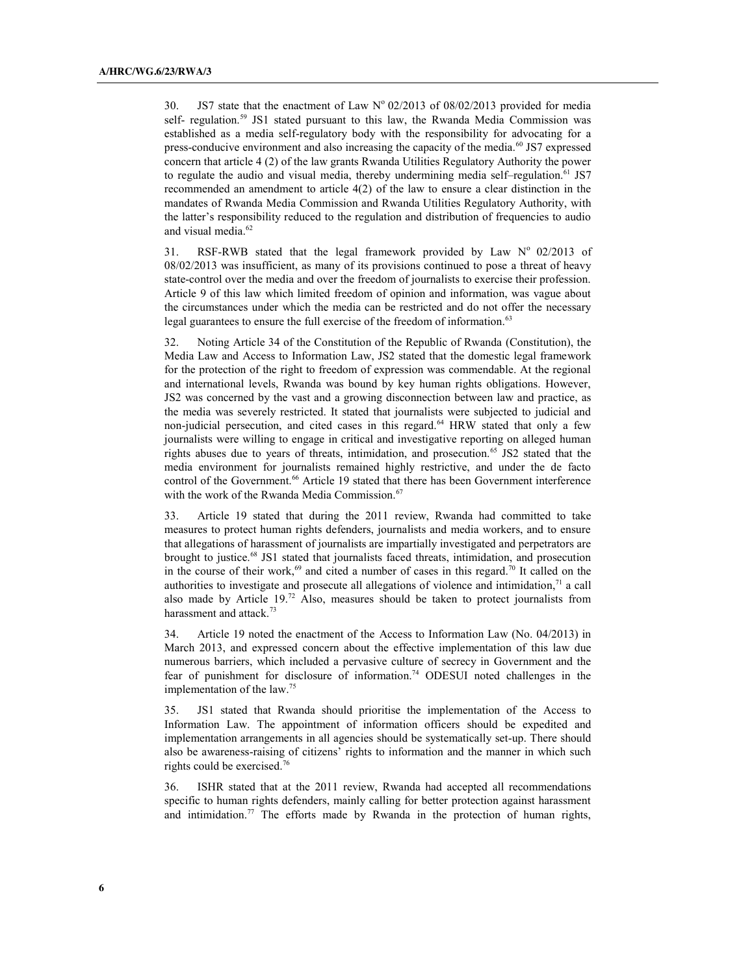30. JS7 state that the enactment of Law  $N^{\circ}$  02/2013 of 08/02/2013 provided for media self- regulation.59 JS1 stated pursuant to this law, the Rwanda Media Commission was established as a media self-regulatory body with the responsibility for advocating for a press-conducive environment and also increasing the capacity of the media.<sup>60</sup> JS7 expressed concern that article 4 (2) of the law grants Rwanda Utilities Regulatory Authority the power to regulate the audio and visual media, thereby undermining media self–regulation.<sup>61</sup> JS7 recommended an amendment to article 4(2) of the law to ensure a clear distinction in the mandates of Rwanda Media Commission and Rwanda Utilities Regulatory Authority, with the latter's responsibility reduced to the regulation and distribution of frequencies to audio and visual media. 62

31. RSF-RWB stated that the legal framework provided by Law  $N^{\circ}$  02/2013 of 08/02/2013 was insufficient, as many of its provisions continued to pose a threat of heavy state-control over the media and over the freedom of journalists to exercise their profession. Article 9 of this law which limited freedom of opinion and information, was vague about the circumstances under which the media can be restricted and do not offer the necessary legal guarantees to ensure the full exercise of the freedom of information.<sup>63</sup>

32. Noting Article 34 of the Constitution of the Republic of Rwanda (Constitution), the Media Law and Access to Information Law, JS2 stated that the domestic legal framework for the protection of the right to freedom of expression was commendable. At the regional and international levels, Rwanda was bound by key human rights obligations. However, JS2 was concerned by the vast and a growing disconnection between law and practice, as the media was severely restricted. It stated that journalists were subjected to judicial and non-judicial persecution, and cited cases in this regard.<sup>64</sup> HRW stated that only a few journalists were willing to engage in critical and investigative reporting on alleged human rights abuses due to years of threats, intimidation, and prosecution.<sup>65</sup> JS2 stated that the media environment for journalists remained highly restrictive, and under the de facto control of the Government.<sup>66</sup> Article 19 stated that there has been Government interference with the work of the Rwanda Media Commission.<sup>67</sup>

33. Article 19 stated that during the 2011 review, Rwanda had committed to take measures to protect human rights defenders, journalists and media workers, and to ensure that allegations of harassment of journalists are impartially investigated and perpetrators are brought to justice.<sup>68</sup> JS1 stated that journalists faced threats, intimidation, and prosecution in the course of their work,  $69$  and cited a number of cases in this regard.<sup>70</sup> It called on the authorities to investigate and prosecute all allegations of violence and intimidation, $\frac{71}{4}$  a call also made by Article 19.72 Also, measures should be taken to protect journalists from harassment and attack.<sup>73</sup>

34. Article 19 noted the enactment of the Access to Information Law (No. 04/2013) in March 2013, and expressed concern about the effective implementation of this law due numerous barriers, which included a pervasive culture of secrecy in Government and the fear of punishment for disclosure of information. <sup>74</sup> ODESUI noted challenges in the implementation of the law. 75

35. JS1 stated that Rwanda should prioritise the implementation of the Access to Information Law. The appointment of information officers should be expedited and implementation arrangements in all agencies should be systematically set-up. There should also be awareness-raising of citizens' rights to information and the manner in which such rights could be exercised. 76

36. ISHR stated that at the 2011 review, Rwanda had accepted all recommendations specific to human rights defenders, mainly calling for better protection against harassment and intimidation.<sup>77</sup> The efforts made by Rwanda in the protection of human rights,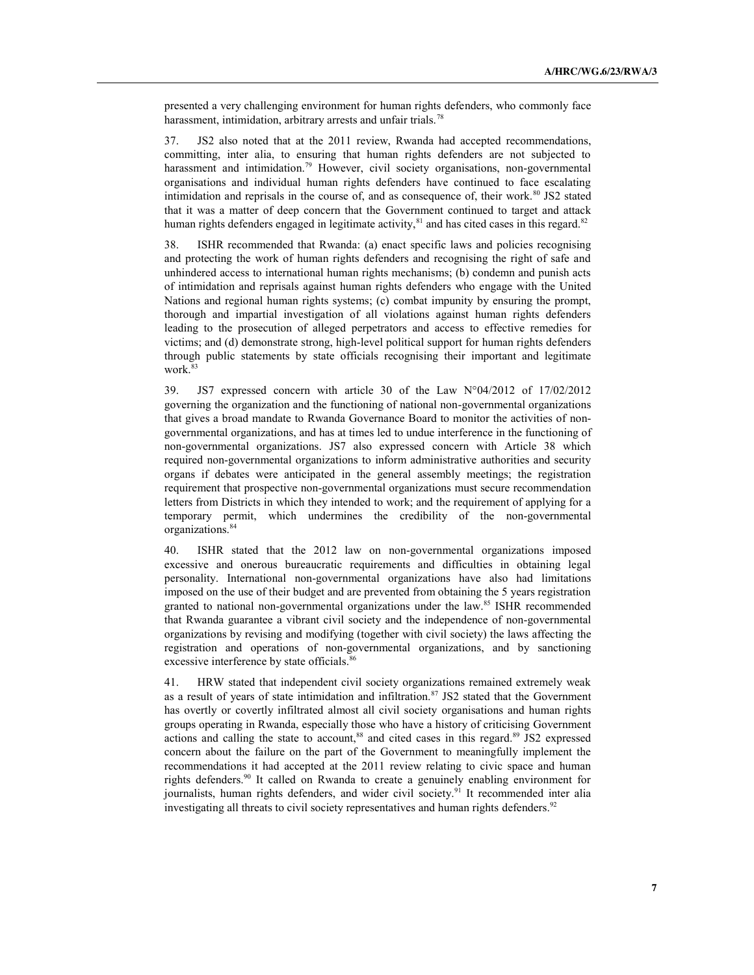presented a very challenging environment for human rights defenders, who commonly face harassment, intimidation, arbitrary arrests and unfair trials.<sup>78</sup>

37. JS2 also noted that at the 2011 review, Rwanda had accepted recommendations, committing, inter alia, to ensuring that human rights defenders are not subjected to harassment and intimidation.<sup>79</sup> However, civil society organisations, non-governmental organisations and individual human rights defenders have continued to face escalating intimidation and reprisals in the course of, and as consequence of, their work.<sup>80</sup> JS2 stated that it was a matter of deep concern that the Government continued to target and attack human rights defenders engaged in legitimate activity,<sup>81</sup> and has cited cases in this regard.<sup>82</sup>

38. ISHR recommended that Rwanda: (a) enact specific laws and policies recognising and protecting the work of human rights defenders and recognising the right of safe and unhindered access to international human rights mechanisms; (b) condemn and punish acts of intimidation and reprisals against human rights defenders who engage with the United Nations and regional human rights systems; (c) combat impunity by ensuring the prompt, thorough and impartial investigation of all violations against human rights defenders leading to the prosecution of alleged perpetrators and access to effective remedies for victims; and (d) demonstrate strong, high-level political support for human rights defenders through public statements by state officials recognising their important and legitimate work.<sup>83</sup>

39. JS7 expressed concern with article 30 of the Law N°04/2012 of 17/02/2012 governing the organization and the functioning of national non-governmental organizations that gives a broad mandate to Rwanda Governance Board to monitor the activities of nongovernmental organizations, and has at times led to undue interference in the functioning of non-governmental organizations. JS7 also expressed concern with Article 38 which required non-governmental organizations to inform administrative authorities and security organs if debates were anticipated in the general assembly meetings; the registration requirement that prospective non-governmental organizations must secure recommendation letters from Districts in which they intended to work; and the requirement of applying for a temporary permit, which undermines the credibility of the non-governmental organizations. 84

40. ISHR stated that the 2012 law on non-governmental organizations imposed excessive and onerous bureaucratic requirements and difficulties in obtaining legal personality. International non-governmental organizations have also had limitations imposed on the use of their budget and are prevented from obtaining the 5 years registration granted to national non-governmental organizations under the law.<sup>85</sup> ISHR recommended that Rwanda guarantee a vibrant civil society and the independence of non-governmental organizations by revising and modifying (together with civil society) the laws affecting the registration and operations of non-governmental organizations, and by sanctioning excessive interference by state officials.<sup>86</sup>

41. HRW stated that independent civil society organizations remained extremely weak as a result of years of state intimidation and infiltration.<sup>87</sup> JS2 stated that the Government has overtly or covertly infiltrated almost all civil society organisations and human rights groups operating in Rwanda, especially those who have a history of criticising Government actions and calling the state to account,<sup>88</sup> and cited cases in this regard.<sup>89</sup> JS2 expressed concern about the failure on the part of the Government to meaningfully implement the recommendations it had accepted at the 2011 review relating to civic space and human rights defenders.90 It called on Rwanda to create a genuinely enabling environment for journalists, human rights defenders, and wider civil society.<sup>91</sup> It recommended inter alia investigating all threats to civil society representatives and human rights defenders.<sup>92</sup>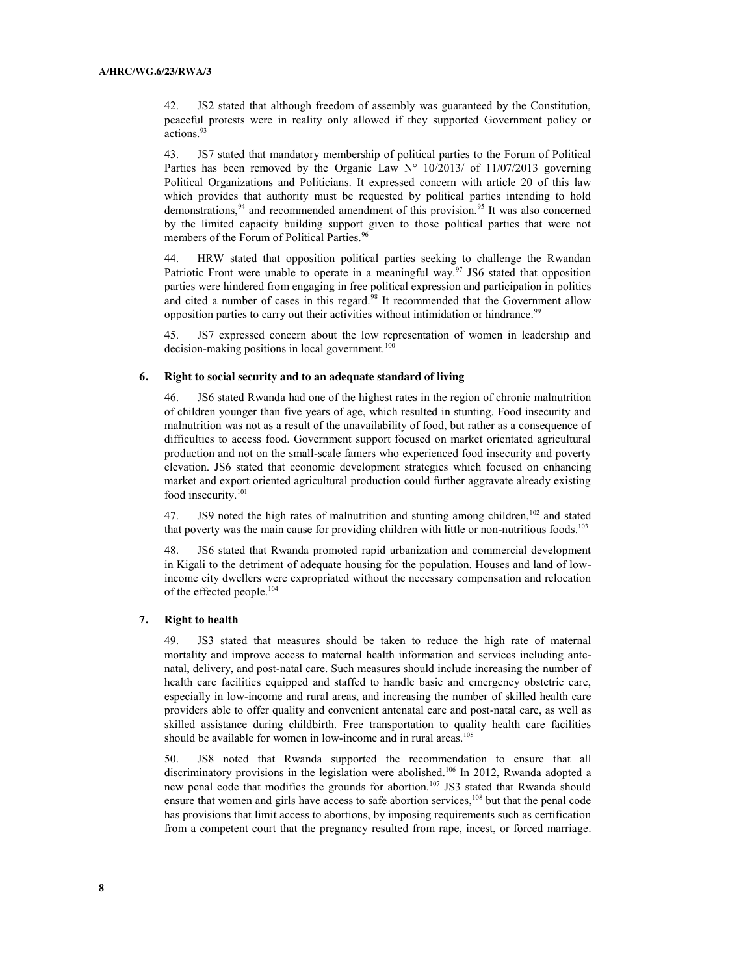42. JS2 stated that although freedom of assembly was guaranteed by the Constitution, peaceful protests were in reality only allowed if they supported Government policy or actions.<sup>93</sup>

43. JS7 stated that mandatory membership of political parties to the Forum of Political Parties has been removed by the Organic Law  $N^{\circ}$  10/2013/ of 11/07/2013 governing Political Organizations and Politicians. It expressed concern with article 20 of this law which provides that authority must be requested by political parties intending to hold demonstrations,<sup>94</sup> and recommended amendment of this provision.<sup>95</sup> It was also concerned by the limited capacity building support given to those political parties that were not members of the Forum of Political Parties.<sup>96</sup>

44. HRW stated that opposition political parties seeking to challenge the Rwandan Patriotic Front were unable to operate in a meaningful way.<sup>97</sup> JS6 stated that opposition parties were hindered from engaging in free political expression and participation in politics and cited a number of cases in this regard.<sup>98</sup> It recommended that the Government allow opposition parties to carry out their activities without intimidation or hindrance.<sup>99</sup>

45. JS7 expressed concern about the low representation of women in leadership and  $decision-making$  positions in local government.<sup>100</sup>

#### **6. Right to social security and to an adequate standard of living**

46. JS6 stated Rwanda had one of the highest rates in the region of chronic malnutrition of children younger than five years of age, which resulted in stunting. Food insecurity and malnutrition was not as a result of the unavailability of food, but rather as a consequence of difficulties to access food. Government support focused on market orientated agricultural production and not on the small-scale famers who experienced food insecurity and poverty elevation. JS6 stated that economic development strategies which focused on enhancing market and export oriented agricultural production could further aggravate already existing food insecurity.<sup>101</sup>

47. JS9 noted the high rates of malnutrition and stunting among children,<sup>102</sup> and stated that poverty was the main cause for providing children with little or non-nutritious foods.<sup>103</sup>

48. JS6 stated that Rwanda promoted rapid urbanization and commercial development in Kigali to the detriment of adequate housing for the population. Houses and land of lowincome city dwellers were expropriated without the necessary compensation and relocation of the effected people.104

#### **7. Right to health**

JS3 stated that measures should be taken to reduce the high rate of maternal mortality and improve access to maternal health information and services including antenatal, delivery, and post-natal care. Such measures should include increasing the number of health care facilities equipped and staffed to handle basic and emergency obstetric care, especially in low-income and rural areas, and increasing the number of skilled health care providers able to offer quality and convenient antenatal care and post-natal care, as well as skilled assistance during childbirth. Free transportation to quality health care facilities should be available for women in low-income and in rural areas.<sup>105</sup>

50. JS8 noted that Rwanda supported the recommendation to ensure that all discriminatory provisions in the legislation were abolished.<sup>106</sup> In 2012, Rwanda adopted a new penal code that modifies the grounds for abortion.<sup>107</sup> JS3 stated that Rwanda should ensure that women and girls have access to safe abortion services,<sup>108</sup> but that the penal code has provisions that limit access to abortions, by imposing requirements such as certification from a competent court that the pregnancy resulted from rape, incest, or forced marriage.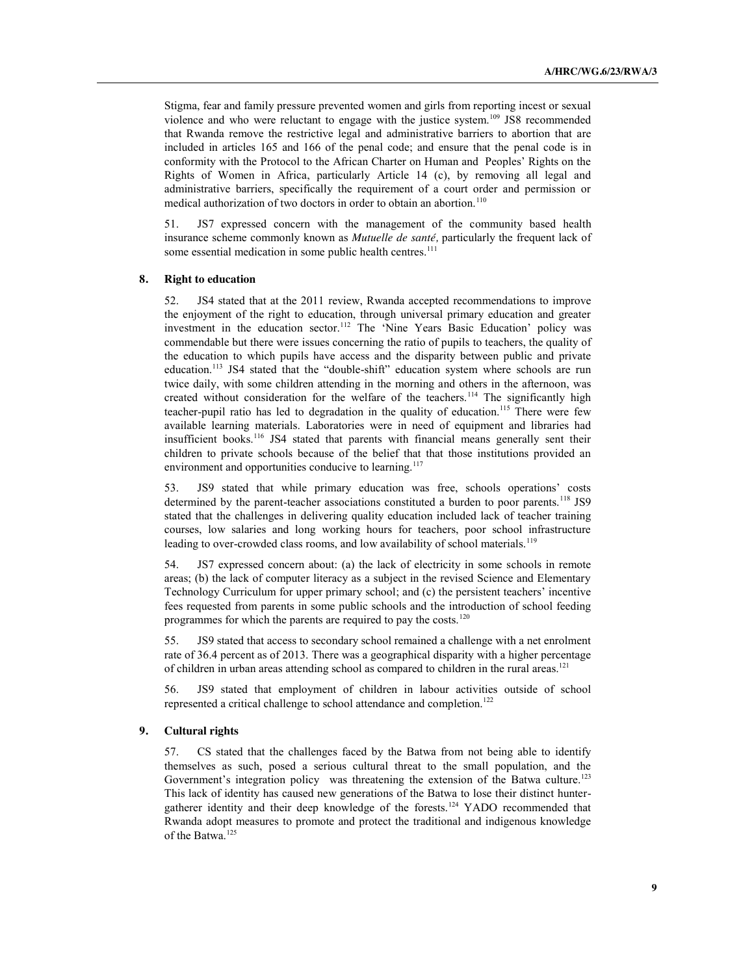Stigma, fear and family pressure prevented women and girls from reporting incest or sexual violence and who were reluctant to engage with the justice system.109 JS8 recommended that Rwanda remove the restrictive legal and administrative barriers to abortion that are included in articles 165 and 166 of the penal code; and ensure that the penal code is in conformity with the Protocol to the African Charter on Human and Peoples' Rights on the Rights of Women in Africa, particularly Article 14 (c), by removing all legal and administrative barriers, specifically the requirement of a court order and permission or medical authorization of two doctors in order to obtain an abortion.<sup>110</sup>

51. JS7 expressed concern with the management of the community based health insurance scheme commonly known as *Mutuelle de santé,* particularly the frequent lack of some essential medication in some public health centres.<sup>111</sup>

#### **8. Right to education**

52. JS4 stated that at the 2011 review, Rwanda accepted recommendations to improve the enjoyment of the right to education, through universal primary education and greater investment in the education sector.<sup>112</sup> The 'Nine Years Basic Education' policy was commendable but there were issues concerning the ratio of pupils to teachers, the quality of the education to which pupils have access and the disparity between public and private education.<sup>113</sup> JS4 stated that the "double-shift" education system where schools are run twice daily, with some children attending in the morning and others in the afternoon, was created without consideration for the welfare of the teachers.<sup>114</sup> The significantly high teacher-pupil ratio has led to degradation in the quality of education.115 There were few available learning materials. Laboratories were in need of equipment and libraries had insufficient books.<sup>116</sup> JS4 stated that parents with financial means generally sent their children to private schools because of the belief that that those institutions provided an environment and opportunities conducive to learning.<sup>117</sup>

53. JS9 stated that while primary education was free, schools operations' costs determined by the parent-teacher associations constituted a burden to poor parents.<sup>118</sup> JS9 stated that the challenges in delivering quality education included lack of teacher training courses, low salaries and long working hours for teachers, poor school infrastructure leading to over-crowded class rooms, and low availability of school materials.<sup>119</sup>

54. JS7 expressed concern about: (a) the lack of electricity in some schools in remote areas; (b) the lack of computer literacy as a subject in the revised Science and Elementary Technology Curriculum for upper primary school; and (c) the persistent teachers' incentive fees requested from parents in some public schools and the introduction of school feeding programmes for which the parents are required to pay the costs.<sup>120</sup>

55. JS9 stated that access to secondary school remained a challenge with a net enrolment rate of 36.4 percent as of 2013. There was a geographical disparity with a higher percentage of children in urban areas attending school as compared to children in the rural areas.<sup>121</sup>

56. JS9 stated that employment of children in labour activities outside of school represented a critical challenge to school attendance and completion.<sup>122</sup>

## **9. Cultural rights**

57. CS stated that the challenges faced by the Batwa from not being able to identify themselves as such, posed a serious cultural threat to the small population, and the Government's integration policy was threatening the extension of the Batwa culture.<sup>123</sup> This lack of identity has caused new generations of the Batwa to lose their distinct huntergatherer identity and their deep knowledge of the forests.124 YADO recommended that Rwanda adopt measures to promote and protect the traditional and indigenous knowledge of the Batwa.<sup>125</sup>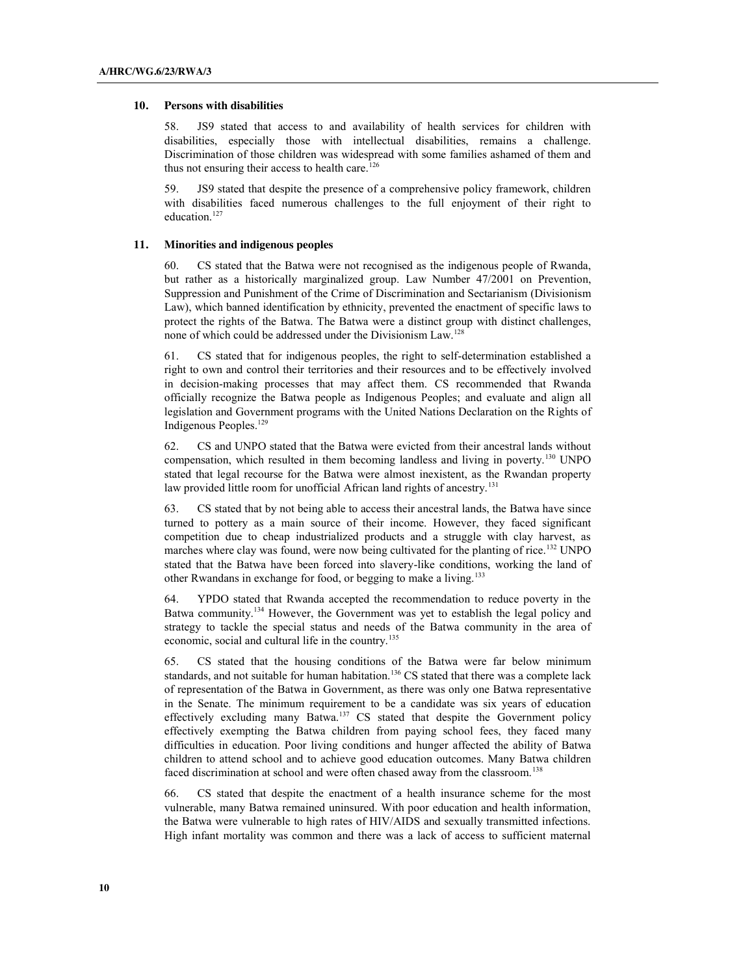### **10. Persons with disabilities**

58. JS9 stated that access to and availability of health services for children with disabilities, especially those with intellectual disabilities, remains a challenge. Discrimination of those children was widespread with some families ashamed of them and thus not ensuring their access to health care.<sup>126</sup>

59. JS9 stated that despite the presence of a comprehensive policy framework, children with disabilities faced numerous challenges to the full enjoyment of their right to education.<sup>127</sup>

#### **11. Minorities and indigenous peoples**

60. CS stated that the Batwa were not recognised as the indigenous people of Rwanda, but rather as a historically marginalized group. Law Number 47/2001 on Prevention, Suppression and Punishment of the Crime of Discrimination and Sectarianism (Divisionism Law), which banned identification by ethnicity, prevented the enactment of specific laws to protect the rights of the Batwa. The Batwa were a distinct group with distinct challenges, none of which could be addressed under the Divisionism Law.128

61. CS stated that for indigenous peoples, the right to self-determination established a right to own and control their territories and their resources and to be effectively involved in decision-making processes that may affect them. CS recommended that Rwanda officially recognize the Batwa people as Indigenous Peoples; and evaluate and align all legislation and Government programs with the United Nations Declaration on the Rights of Indigenous Peoples. 129

62. CS and UNPO stated that the Batwa were evicted from their ancestral lands without compensation, which resulted in them becoming landless and living in poverty.130 UNPO stated that legal recourse for the Batwa were almost inexistent, as the Rwandan property law provided little room for unofficial African land rights of ancestry.<sup>131</sup>

63. CS stated that by not being able to access their ancestral lands, the Batwa have since turned to pottery as a main source of their income. However, they faced significant competition due to cheap industrialized products and a struggle with clay harvest, as marches where clay was found, were now being cultivated for the planting of rice.<sup>132</sup> UNPO stated that the Batwa have been forced into slavery-like conditions, working the land of other Rwandans in exchange for food, or begging to make a living.133

64. YPDO stated that Rwanda accepted the recommendation to reduce poverty in the Batwa community.<sup>134</sup> However, the Government was yet to establish the legal policy and strategy to tackle the special status and needs of the Batwa community in the area of economic, social and cultural life in the country.<sup>135</sup>

65. CS stated that the housing conditions of the Batwa were far below minimum standards, and not suitable for human habitation.<sup>136</sup> CS stated that there was a complete lack of representation of the Batwa in Government, as there was only one Batwa representative in the Senate. The minimum requirement to be a candidate was six years of education effectively excluding many Batwa.<sup>137</sup> CS stated that despite the Government policy effectively exempting the Batwa children from paying school fees, they faced many difficulties in education. Poor living conditions and hunger affected the ability of Batwa children to attend school and to achieve good education outcomes. Many Batwa children faced discrimination at school and were often chased away from the classroom.<sup>138</sup>

66. CS stated that despite the enactment of a health insurance scheme for the most vulnerable, many Batwa remained uninsured. With poor education and health information, the Batwa were vulnerable to high rates of HIV/AIDS and sexually transmitted infections. High infant mortality was common and there was a lack of access to sufficient maternal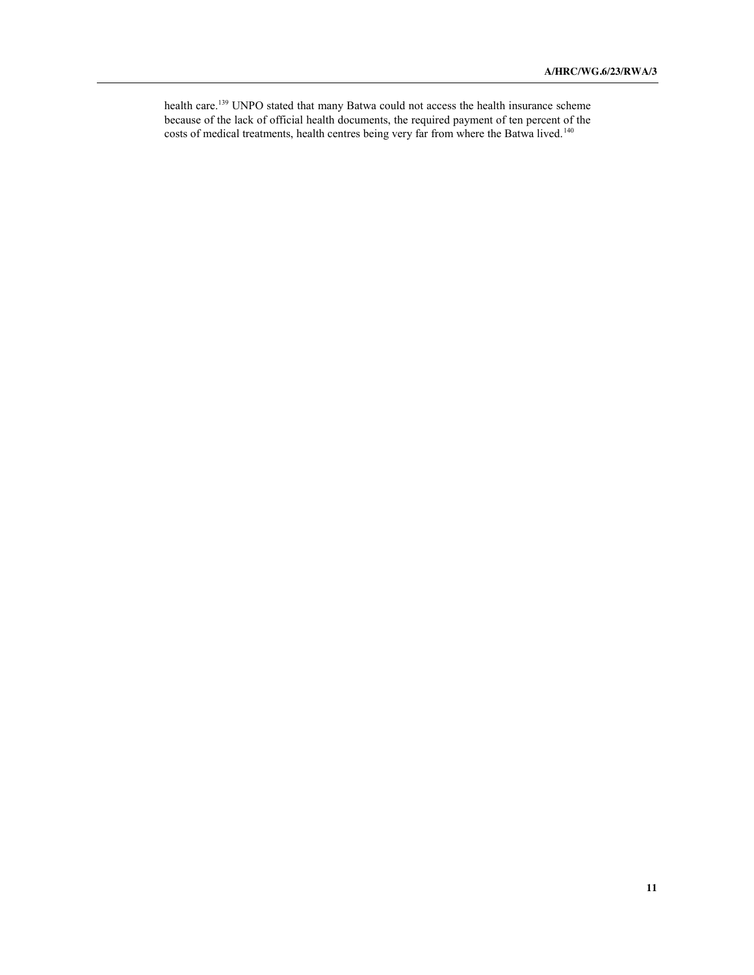health care.<sup>139</sup> UNPO stated that many Batwa could not access the health insurance scheme because of the lack of official health documents, the required payment of ten percent of the costs of medical treatments, health centres being very far from where the Batwa lived.<sup>140</sup>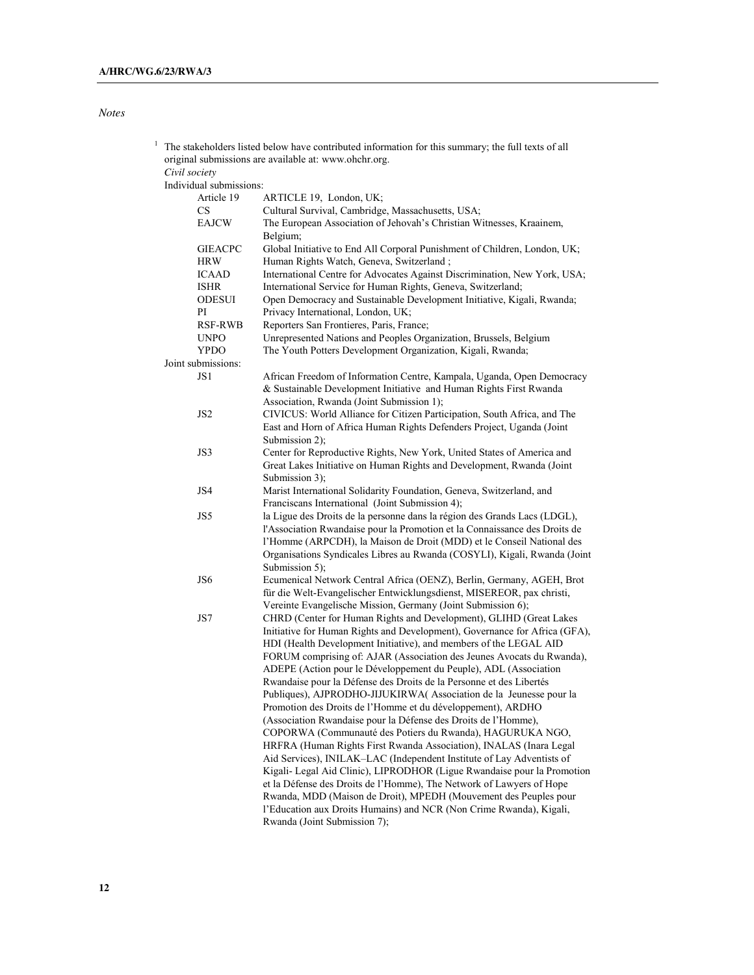## *Notes*

| $\mathbf{1}$  | The stakeholders listed below have contributed information for this summary; the full texts of all<br>original submissions are available at: www.ohchr.org. |                         |                                                                            |  |  |
|---------------|-------------------------------------------------------------------------------------------------------------------------------------------------------------|-------------------------|----------------------------------------------------------------------------|--|--|
| Civil society |                                                                                                                                                             |                         |                                                                            |  |  |
|               |                                                                                                                                                             | Individual submissions: |                                                                            |  |  |
|               |                                                                                                                                                             | Article 19              | ARTICLE 19, London, UK;                                                    |  |  |
|               |                                                                                                                                                             | CS                      | Cultural Survival, Cambridge, Massachusetts, USA;                          |  |  |
|               |                                                                                                                                                             | <b>EAJCW</b>            | The European Association of Jehovah's Christian Witnesses, Kraainem,       |  |  |
|               |                                                                                                                                                             |                         | Belgium;                                                                   |  |  |
|               |                                                                                                                                                             | <b>GIEACPC</b>          | Global Initiative to End All Corporal Punishment of Children, London, UK;  |  |  |
|               |                                                                                                                                                             | <b>HRW</b>              | Human Rights Watch, Geneva, Switzerland;                                   |  |  |
|               |                                                                                                                                                             | <b>ICAAD</b>            | International Centre for Advocates Against Discrimination, New York, USA;  |  |  |
|               |                                                                                                                                                             | <b>ISHR</b>             | International Service for Human Rights, Geneva, Switzerland;               |  |  |
|               |                                                                                                                                                             | <b>ODESUI</b>           | Open Democracy and Sustainable Development Initiative, Kigali, Rwanda;     |  |  |
|               |                                                                                                                                                             | PI                      | Privacy International, London, UK;                                         |  |  |
|               |                                                                                                                                                             | <b>RSF-RWB</b>          | Reporters San Frontieres, Paris, France;                                   |  |  |
|               |                                                                                                                                                             | <b>UNPO</b>             | Unrepresented Nations and Peoples Organization, Brussels, Belgium          |  |  |
|               |                                                                                                                                                             | <b>YPDO</b>             | The Youth Potters Development Organization, Kigali, Rwanda;                |  |  |
|               |                                                                                                                                                             | Joint submissions:      |                                                                            |  |  |
|               |                                                                                                                                                             | JS1                     | African Freedom of Information Centre, Kampala, Uganda, Open Democracy     |  |  |
|               |                                                                                                                                                             |                         | & Sustainable Development Initiative and Human Rights First Rwanda         |  |  |
|               |                                                                                                                                                             |                         | Association, Rwanda (Joint Submission 1);                                  |  |  |
|               |                                                                                                                                                             | JS <sub>2</sub>         | CIVICUS: World Alliance for Citizen Participation, South Africa, and The   |  |  |
|               |                                                                                                                                                             |                         | East and Horn of Africa Human Rights Defenders Project, Uganda (Joint      |  |  |
|               |                                                                                                                                                             |                         | Submission 2);                                                             |  |  |
|               |                                                                                                                                                             | JS3                     | Center for Reproductive Rights, New York, United States of America and     |  |  |
|               |                                                                                                                                                             |                         | Great Lakes Initiative on Human Rights and Development, Rwanda (Joint      |  |  |
|               |                                                                                                                                                             |                         | Submission 3);                                                             |  |  |
|               |                                                                                                                                                             | JS4                     | Marist International Solidarity Foundation, Geneva, Switzerland, and       |  |  |
|               |                                                                                                                                                             |                         | Franciscans International (Joint Submission 4);                            |  |  |
|               |                                                                                                                                                             | JS5                     | la Ligue des Droits de la personne dans la région des Grands Lacs (LDGL),  |  |  |
|               |                                                                                                                                                             |                         | l'Association Rwandaise pour la Promotion et la Connaissance des Droits de |  |  |
|               |                                                                                                                                                             |                         | l'Homme (ARPCDH), la Maison de Droit (MDD) et le Conseil National des      |  |  |
|               |                                                                                                                                                             |                         | Organisations Syndicales Libres au Rwanda (COSYLI), Kigali, Rwanda (Joint  |  |  |
|               |                                                                                                                                                             |                         | Submission 5);                                                             |  |  |
|               |                                                                                                                                                             | JS6                     | Ecumenical Network Central Africa (OENZ), Berlin, Germany, AGEH, Brot      |  |  |
|               |                                                                                                                                                             |                         | für die Welt-Evangelischer Entwicklungsdienst, MISEREOR, pax christi,      |  |  |
|               |                                                                                                                                                             |                         | Vereinte Evangelische Mission, Germany (Joint Submission 6);               |  |  |
|               |                                                                                                                                                             | JS7                     | CHRD (Center for Human Rights and Development), GLIHD (Great Lakes         |  |  |
|               |                                                                                                                                                             |                         | Initiative for Human Rights and Development), Governance for Africa (GFA), |  |  |
|               |                                                                                                                                                             |                         | HDI (Health Development Initiative), and members of the LEGAL AID          |  |  |
|               |                                                                                                                                                             |                         | FORUM comprising of: AJAR (Association des Jeunes Avocats du Rwanda),      |  |  |
|               |                                                                                                                                                             |                         | ADEPE (Action pour le Développement du Peuple), ADL (Association           |  |  |
|               |                                                                                                                                                             |                         | Rwandaise pour la Défense des Droits de la Personne et des Libertés        |  |  |
|               |                                                                                                                                                             |                         | Publiques), AJPRODHO-JIJUKIRWA(Association de la Jeunesse pour la          |  |  |
|               |                                                                                                                                                             |                         | Promotion des Droits de l'Homme et du développement), ARDHO                |  |  |
|               |                                                                                                                                                             |                         | (Association Rwandaise pour la Défense des Droits de l'Homme),             |  |  |
|               |                                                                                                                                                             |                         | COPORWA (Communauté des Potiers du Rwanda), HAGURUKA NGO,                  |  |  |
|               |                                                                                                                                                             |                         | HRFRA (Human Rights First Rwanda Association), INALAS (Inara Legal         |  |  |
|               |                                                                                                                                                             |                         | Aid Services), INILAK-LAC (Independent Institute of Lay Adventists of      |  |  |
|               |                                                                                                                                                             |                         | Kigali- Legal Aid Clinic), LIPRODHOR (Ligue Rwandaise pour la Promotion    |  |  |
|               |                                                                                                                                                             |                         | et la Défense des Droits de l'Homme), The Network of Lawyers of Hope       |  |  |
|               |                                                                                                                                                             |                         | Rwanda, MDD (Maison de Droit), MPEDH (Mouvement des Peuples pour           |  |  |
|               |                                                                                                                                                             |                         | l'Education aux Droits Humains) and NCR (Non Crime Rwanda), Kigali,        |  |  |
|               |                                                                                                                                                             |                         | Rwanda (Joint Submission 7);                                               |  |  |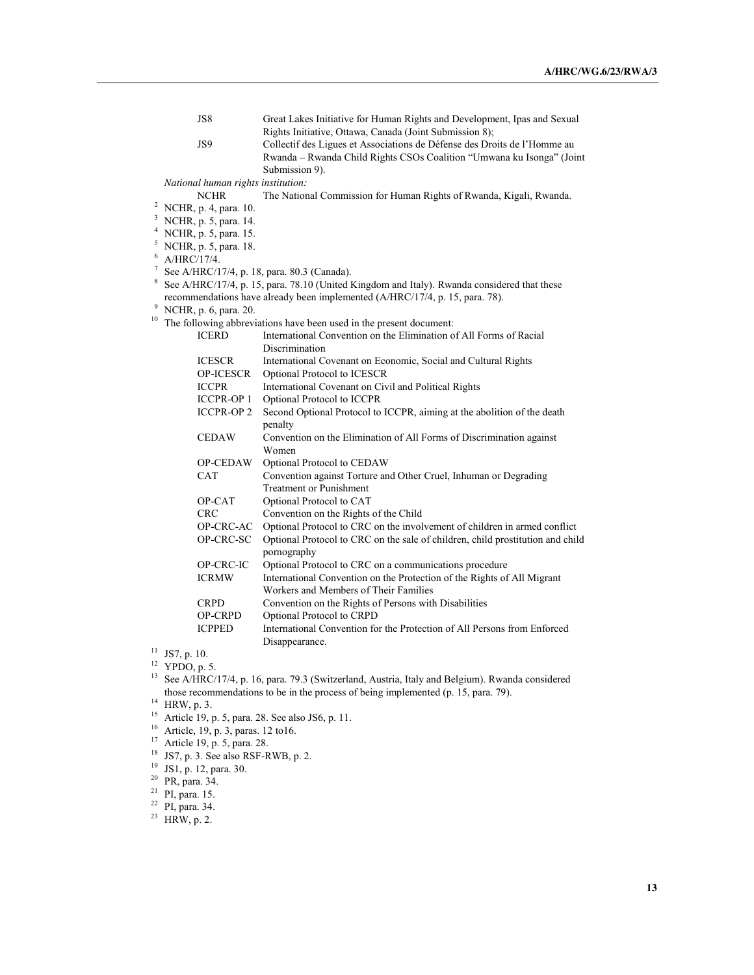|                                                                                                  |                                                  | JS8                                | Great Lakes Initiative for Human Rights and Development, Ipas and Sexual       |  |
|--------------------------------------------------------------------------------------------------|--------------------------------------------------|------------------------------------|--------------------------------------------------------------------------------|--|
|                                                                                                  |                                                  |                                    | Rights Initiative, Ottawa, Canada (Joint Submission 8);                        |  |
|                                                                                                  |                                                  | JS9                                | Collectif des Ligues et Associations de Défense des Droits de l'Homme au       |  |
|                                                                                                  |                                                  |                                    | Rwanda - Rwanda Child Rights CSOs Coalition "Umwana ku Isonga" (Joint          |  |
|                                                                                                  |                                                  |                                    | Submission 9).                                                                 |  |
|                                                                                                  |                                                  | National human rights institution: |                                                                                |  |
|                                                                                                  |                                                  | <b>NCHR</b>                        | The National Commission for Human Rights of Rwanda, Kigali, Rwanda.            |  |
|                                                                                                  |                                                  | <sup>2</sup> NCHR, p. 4, para. 10. |                                                                                |  |
|                                                                                                  |                                                  | <sup>3</sup> NCHR, p. 5, para. 14. |                                                                                |  |
|                                                                                                  |                                                  | <sup>4</sup> NCHR, p. 5, para. 15. |                                                                                |  |
|                                                                                                  |                                                  | <sup>5</sup> NCHR, p. 5, para. 18. |                                                                                |  |
| 6                                                                                                | A/HRC/17/4.                                      |                                    |                                                                                |  |
|                                                                                                  | 7<br>See A/HRC/17/4, p. 18, para. 80.3 (Canada). |                                    |                                                                                |  |
| 8<br>See A/HRC/17/4, p. 15, para. 78.10 (United Kingdom and Italy). Rwanda considered that these |                                                  |                                    |                                                                                |  |
| recommendations have already been implemented (A/HRC/17/4, p. 15, para. 78).                     |                                                  |                                    |                                                                                |  |
|                                                                                                  | 9<br>NCHR, p. 6, para. 20.                       |                                    |                                                                                |  |
| 10                                                                                               |                                                  |                                    | The following abbreviations have been used in the present document:            |  |
|                                                                                                  |                                                  | <b>ICERD</b>                       | International Convention on the Elimination of All Forms of Racial             |  |
|                                                                                                  |                                                  |                                    | Discrimination                                                                 |  |
|                                                                                                  |                                                  | <b>ICESCR</b>                      | International Covenant on Economic, Social and Cultural Rights                 |  |
|                                                                                                  |                                                  | OP-ICESCR                          | Optional Protocol to ICESCR                                                    |  |
|                                                                                                  |                                                  | <b>ICCPR</b>                       | International Covenant on Civil and Political Rights                           |  |
|                                                                                                  |                                                  | <b>ICCPR-OP 1</b>                  | Optional Protocol to ICCPR                                                     |  |
|                                                                                                  |                                                  | <b>ICCPR-OP2</b>                   | Second Optional Protocol to ICCPR, aiming at the abolition of the death        |  |
|                                                                                                  |                                                  |                                    | penalty                                                                        |  |
|                                                                                                  |                                                  | <b>CEDAW</b>                       | Convention on the Elimination of All Forms of Discrimination against           |  |
|                                                                                                  |                                                  |                                    | Women                                                                          |  |
|                                                                                                  |                                                  | OP-CEDAW                           | Optional Protocol to CEDAW                                                     |  |
|                                                                                                  |                                                  | CAT                                | Convention against Torture and Other Cruel, Inhuman or Degrading               |  |
|                                                                                                  |                                                  |                                    | <b>Treatment or Punishment</b>                                                 |  |
|                                                                                                  |                                                  | OP-CAT                             | Optional Protocol to CAT                                                       |  |
|                                                                                                  |                                                  | <b>CRC</b>                         | Convention on the Rights of the Child                                          |  |
|                                                                                                  |                                                  | OP-CRC-AC                          | Optional Protocol to CRC on the involvement of children in armed conflict      |  |
|                                                                                                  |                                                  | OP-CRC-SC                          | Optional Protocol to CRC on the sale of children, child prostitution and child |  |
|                                                                                                  |                                                  |                                    | pornography                                                                    |  |
|                                                                                                  |                                                  | OP-CRC-IC                          | Optional Protocol to CRC on a communications procedure                         |  |
|                                                                                                  |                                                  | <b>ICRMW</b>                       | International Convention on the Protection of the Rights of All Migrant        |  |
|                                                                                                  |                                                  |                                    | Workers and Members of Their Families                                          |  |
|                                                                                                  |                                                  | <b>CRPD</b>                        | Convention on the Rights of Persons with Disabilities                          |  |
|                                                                                                  |                                                  | OP-CRPD                            | Optional Protocol to CRPD                                                      |  |
|                                                                                                  |                                                  | <b>ICPPED</b>                      | International Convention for the Protection of All Persons from Enforced       |  |
|                                                                                                  |                                                  |                                    | Disappearance.                                                                 |  |
|                                                                                                  | $11$ JS7, p. 10.                                 |                                    |                                                                                |  |
|                                                                                                  |                                                  |                                    |                                                                                |  |

 $12$  YPDO, p. 5.

- <sup>14</sup> HRW, p. 3.<br>
<sup>15</sup> Article 19, p. 5, para. 28. See also JS6, p. 11.<br>
<sup>16</sup> Article, 19, p. 3, paras. 12 to 16.<br>
<sup>17</sup> Article 19, p. 5, para. 28.<br>
<sup>18</sup> JS7, p. 3. See also RSF-RWB, p. 2.<br>
<sup>19</sup> JS1, p. 12, para. 30.<br>
<sup>20</sup>
- 
- 
- 
- 
- 
- 
- 
- 

<sup>13</sup> See A/HRC/17/4, p. 16, para. 79.3 (Switzerland, Austria, Italy and Belgium). Rwanda considered those recommendations to be in the process of being implemented (p. 15, para. 79).

 $^{14}$  HRW, p. 3.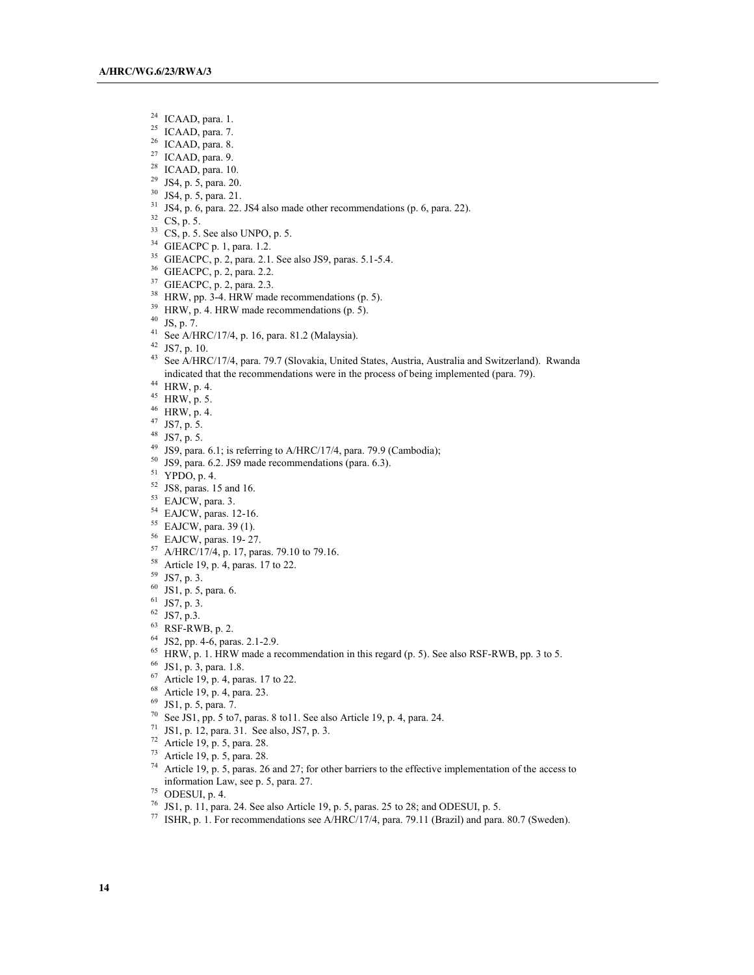- <sup>24</sup> ICAAD, para. 1.<br><sup>25</sup> ICAAD, para. 7.
- 
- 
- 
- 
- 
- 
- <sup>26</sup> ICAAD, para. 8.<br><sup>27</sup> ICAAD, para. 9.<br><sup>28</sup> ICAAD, para. 10.<br><sup>30</sup> JS4, p. 5, para. 21.<br><sup>31</sup> JS4, p. 6, para. 22. JS4 also made other recommendations (p. 6, para. 22).
- $32$  CS, p. 5.
- $^{33}$  CS, p. 5. See also UNPO, p. 5.<br><sup>34</sup> GIEACPC p. 1, para. 1.2.
- 
- <sup>35</sup> GIEACPC, p. 2, para. 2.1. See also JS9, paras. 5.1-5.4.<br><sup>36</sup> GIEACPC, p. 2, para. 2.2.<br><sup>37</sup> GIEACPC, p. 2, para. 2.3.<br><sup>38</sup> HRW, pp. 3-4. HRW made recommendations (p. 5).<br><sup>39</sup> HRW, p. 4. HRW made recommendations (p. 5
- 
- 
- 
- 
- 
- 
- 
- <sup>43</sup> See A/HRC/17/4, para. 79.7 (Slovakia, United States, Austria, Australia and Switzerland). Rwanda indicated that the recommendations were in the process of being implemented (para. 79).<br><sup>44</sup> HRW, p. 4.<br><sup>45</sup> HRW, p. 5.
- 
- 
- $^{46}$  HRW, p. 4.<br> $^{47}$  JS7, p. 5.
- 
- 
- <sup>48</sup> JS7, p. 5.  $^{49}$  JS9, para. 6.1; is referring to A/HRC/17/4, para. 79.9 (Cambodia);
- $^{50}$  JS9, para. 6.2. JS9 made recommendations (para. 6.3).<br><sup>51</sup> YPDO, p. 4.
- 
- 
- 
- 
- 
- 
- <sup>51</sup> YPDO, p. 4.<br><sup>52</sup> JS8, paras. 15 and 16.<br><sup>53</sup> EAJCW, para. 3.<br><sup>54</sup> EAJCW, paras. 12-16.<br><sup>55</sup> EAJCW, paras. 19- 27.<br><sup>56</sup> EAJCW, paras. 19- 27.<br><sup>57</sup> A/HRC/17/4, p. 17, paras. 79.10 to 79.16.<br><sup>58</sup> Article 19, p. 4, paras.
- 
- 
- 
- 
- 
- 
- 61 JS7, p. 3.<br>
62 JS7, p. 3.<br>
63 RSF-RWB, p. 2.<br>
64 JS2, pp. 4-6, paras. 2.1-2.9.
- <sup>65</sup> HRW, p. 1. HRW made a recommendation in this regard (p. 5). See also RSF-RWB, pp. 3 to 5. <sup>66</sup> JS1, p. 3, para. 1.8.
- 
- <sup>67</sup> Article 19, p. 4, paras. 17 to 22.<br>
<sup>68</sup> Article 19, p. 4, para. 23.<br>
<sup>69</sup> JS1, p. 5, para. 7.
- 
- 
- <sup>70</sup> See JS1, pp. 5 to7, paras. 8 to11. See also Article 19, p. 4, para. 24.<br><sup>71</sup> JS1, p. 12, para. 31. See also, JS7, p. 3.
- 
- 
- 
- <sup>72</sup> Article 19, p. 5, para. 28.<br><sup>73</sup> Article 19, p. 5, para. 28. *74* Article 19, p. 5, paras. 26 and 27; for other barriers to the effective implementation of the access to information Law, see p. 5, para. 27.<br><sup>75</sup> ODESUI, p. 4.<br><sup>76</sup> JS1, p. 11, para. 24. See also Article 19, p. 5, paras. 25 to 28; and ODESUI, p. 5.
- 
- 
- <sup>77</sup> ISHR, p. 1. For recommendations see A/HRC/17/4, para. 79.11 (Brazil) and para. 80.7 (Sweden).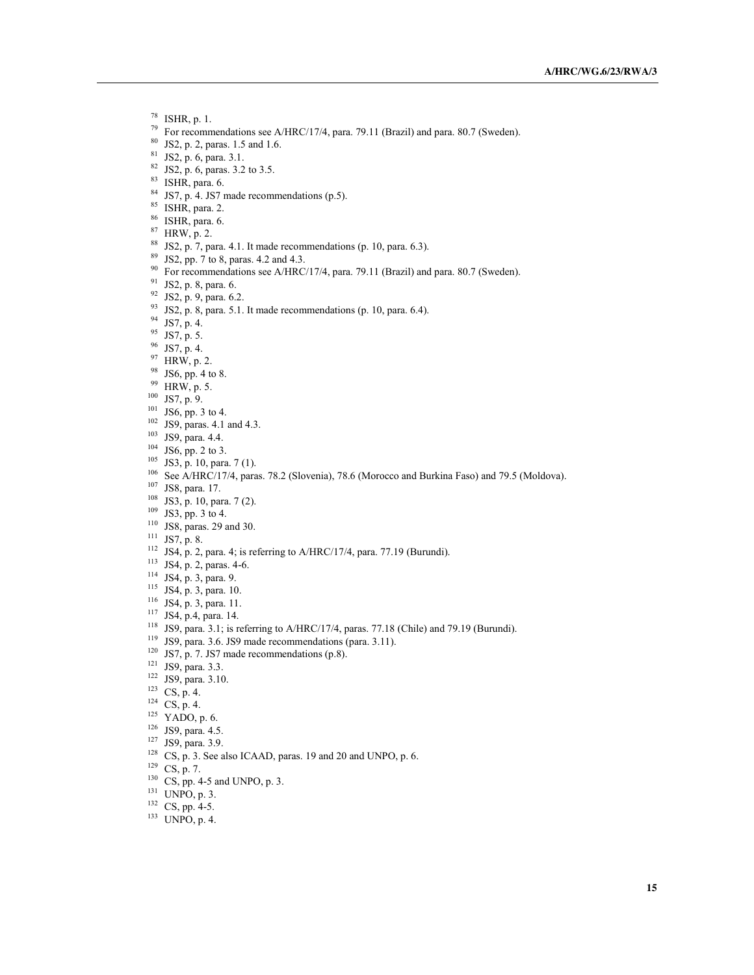<sup>78</sup> ISHR, p. 1.

- <sup>79</sup> For recommendations see A/HRC/17/4, para. 79.11 (Brazil) and para. 80.7 (Sweden).<br><sup>80</sup> JS2, p. 2, paras. 1.5 and 1.6.<br><sup>81</sup> JS2, p. 6, para. 3.1.<br><sup>82</sup> JS2, p. 6, paras. 3.2 to 3.5.<br><sup>82</sup> ISHR, para. 6.<br><sup>84</sup> JS7, p. 4.
- 
- 
- 
- 
- 
- 
- $^{86}$  ISHR, para. 6.<br> $^{87}$  HRW, p. 2.
- 
- $88$  JS2, p. 7, para. 4.1. It made recommendations (p. 10, para. 6.3).
- <sup>89</sup> JS2, pp. 7 to 8, paras. 4.2 and 4.3.
- <sup>90</sup> For recommendations see A/HRC/17/4, para. 79.11 (Brazil) and para. 80.7 (Sweden).<br><sup>91</sup> JS2, p. 8, para. 6.<br><sup>92</sup> JS2, p. 9, para. 6.2.
- 
- 
- <sup>92</sup> JS2, p. 9, para. 6.2.<br><sup>93</sup> JS2, p. 8, para. 5.1. It made recommendations (p. 10, para. 6.4).<br><sup>94</sup> JS7, p. 4.<br><sup>95</sup> JS7, p. 5.<br><sup>96</sup> JS7, p. 4.<br><sup>97</sup> HRW, p. 2.<br><sup>98</sup> JS6, pp. 4 to 8.<br><sup>99</sup> HRW, p. 5.<br><sup>103</sup> JS6, pp. 3 to 4
- 
- 
- 
- 
- 
- 
- 
- 
- 
- 
- 
- <sup>104</sup> JS6, pp. 2 to 3.<br><sup>105</sup> JS3, p. 10, para. 7 (1).
- 
- <sup>106</sup> See A/HRC/17/4, paras. 78.2 (Slovenia), 78.6 (Morocco and Burkina Faso) and 79.5 (Moldova).<br><sup>107</sup> JS8, para. 17.<br><sup>108</sup> IS3, p. 10, para. 7 (2).<br><sup>109</sup> IS3, pp. 3 to 4.<br><sup>110</sup> JS8, paras. 29 and 30.<br><sup>111</sup> JS7, p. 8.<br><sup>1</sup>
- 
- 
- 
- 
- 
- 
- 
- 
- 
- 
- 
- <sup>114</sup> JS4, p. 3, para. 9.<br><sup>115</sup> JS4, p. 3, para. 10.<br><sup>116</sup> JS4, p. 3, para. 11.<br><sup>117</sup> JS4, p.4, para. 14.<br><sup>118</sup> JS9, para. 3.1; is referring to A/HRC/17/4, paras. 77.18 (Chile) and 79.19 (Burundi).
- 119 JS9, para. 3.6. JS9 made recommendations (para. 3.11).<br>
121 JS7, p. 7. JS7 made recommendations (p.8).<br>
121 JS9, para. 3.3.<br>
122 JS9, para. 3.10.<br>
123 CS, p. 4.<br>
124 CS, p. 4.<br>
125 YADO, p. 6.<br>
126 JS9, para. 4.5.<br>
12
- 
- 
- 
- 
- 
- 
- 
- 
- 
- <sup>128</sup> CS, p. 3. See also ICAAD, paras. 19 and 20 and UNPO, p. 6.<br><sup>129</sup> CS, p. 7.
- 
- $130$  CS, pp. 4-5 and UNPO, p. 3.
- $131$  UNPO, p. 3.<br> $132$  CS, pp. 4-5.
- 
- $133$  UNPO, p. 4.